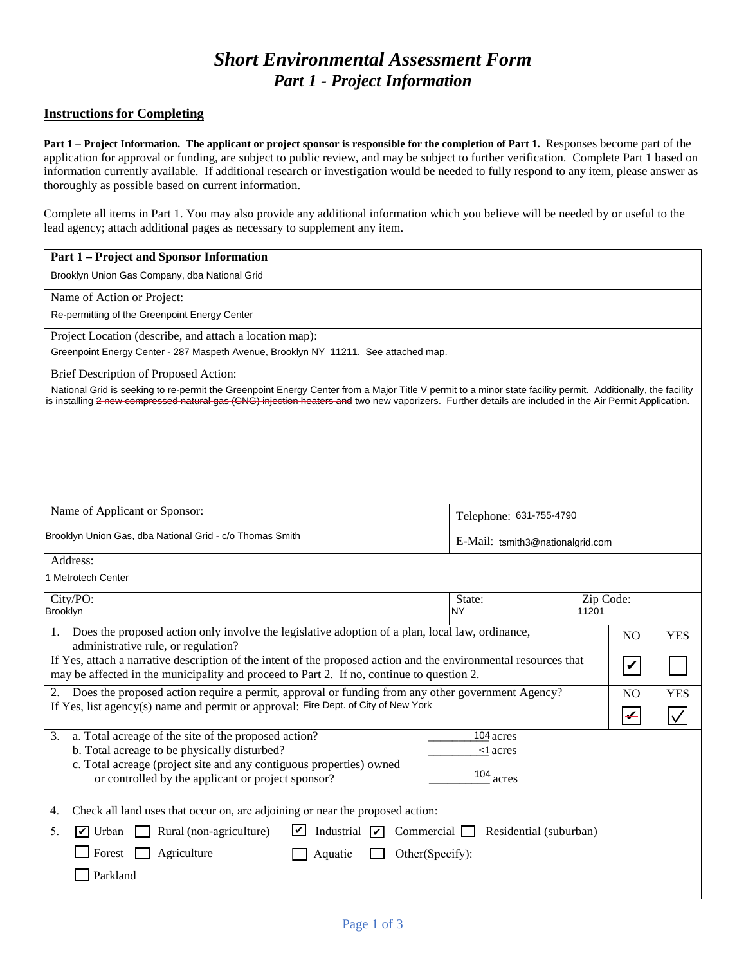# *Short Environmental Assessment Form Part 1 - Project Information*

#### **Instructions for Completing**

**Part 1 – Project Information. The applicant or project sponsor is responsible for the completion of Part 1.** Responses become part of the application for approval or funding, are subject to public review, and may be subject to further verification. Complete Part 1 based on information currently available. If additional research or investigation would be needed to fully respond to any item, please answer as thoroughly as possible based on current information.

Complete all items in Part 1. You may also provide any additional information which you believe will be needed by or useful to the lead agency; attach additional pages as necessary to supplement any item.

| <b>Part 1 – Project and Sponsor Information</b>                                                                                                                                                                                                                                                                                  |                                      |                    |                |              |
|----------------------------------------------------------------------------------------------------------------------------------------------------------------------------------------------------------------------------------------------------------------------------------------------------------------------------------|--------------------------------------|--------------------|----------------|--------------|
| Brooklyn Union Gas Company, dba National Grid                                                                                                                                                                                                                                                                                    |                                      |                    |                |              |
| Name of Action or Project:                                                                                                                                                                                                                                                                                                       |                                      |                    |                |              |
| Re-permitting of the Greenpoint Energy Center                                                                                                                                                                                                                                                                                    |                                      |                    |                |              |
| Project Location (describe, and attach a location map):                                                                                                                                                                                                                                                                          |                                      |                    |                |              |
| Greenpoint Energy Center - 287 Maspeth Avenue, Brooklyn NY 11211. See attached map.                                                                                                                                                                                                                                              |                                      |                    |                |              |
| Brief Description of Proposed Action:                                                                                                                                                                                                                                                                                            |                                      |                    |                |              |
| National Grid is seeking to re-permit the Greenpoint Energy Center from a Major Title V permit to a minor state facility permit. Additionally, the facility<br>is installing <del>2 new compressed natural gas (CNG) injection heaters and</del> two new vaporizers. Further details are included in the Air Permit Application. |                                      |                    |                |              |
|                                                                                                                                                                                                                                                                                                                                  |                                      |                    |                |              |
| Name of Applicant or Sponsor:                                                                                                                                                                                                                                                                                                    | Telephone: 631-755-4790              |                    |                |              |
| Brooklyn Union Gas, dba National Grid - c/o Thomas Smith<br>E-Mail: tsmith3@nationalgrid.com                                                                                                                                                                                                                                     |                                      |                    |                |              |
| Address:                                                                                                                                                                                                                                                                                                                         |                                      |                    |                |              |
| 1 Metrotech Center                                                                                                                                                                                                                                                                                                               |                                      |                    |                |              |
| City/PO:<br><b>Brooklyn</b>                                                                                                                                                                                                                                                                                                      | State:<br>NY                         | Zip Code:<br>11201 |                |              |
|                                                                                                                                                                                                                                                                                                                                  |                                      |                    |                |              |
| Does the proposed action only involve the legislative adoption of a plan, local law, ordinance,<br>1.<br>administrative rule, or regulation?                                                                                                                                                                                     |                                      |                    | N <sub>O</sub> | <b>YES</b>   |
| If Yes, attach a narrative description of the intent of the proposed action and the environmental resources that<br>may be affected in the municipality and proceed to Part 2. If no, continue to question 2.                                                                                                                    |                                      |                    |                |              |
| 2. Does the proposed action require a permit, approval or funding from any other government Agency?<br>N <sub>O</sub>                                                                                                                                                                                                            |                                      |                    |                | <b>YES</b>   |
| If Yes, list agency(s) name and permit or approval: Fire Dept. of City of New York                                                                                                                                                                                                                                               |                                      |                    |                | $\checkmark$ |
| 3.<br>a. Total acreage of the site of the proposed action?<br>b. Total acreage to be physically disturbed?<br>c. Total acreage (project site and any contiguous properties) owned<br>or controlled by the applicant or project sponsor?                                                                                          | 104 acres<br><1 acres<br>$104$ acres |                    |                |              |
| Check all land uses that occur on, are adjoining or near the proposed action:<br>4.                                                                                                                                                                                                                                              |                                      |                    |                |              |
| Industrial $\boxed{\triangleright}$ Commercial $\boxed{\square}$<br>$\triangledown$ Urban $\Box$<br>Rural (non-agriculture)<br>☑<br>5.                                                                                                                                                                                           | Residential (suburban)               |                    |                |              |
| $\Box$ Forest<br>Agriculture<br>Aquatic<br>Other(Specify):                                                                                                                                                                                                                                                                       |                                      |                    |                |              |
| Parkland                                                                                                                                                                                                                                                                                                                         |                                      |                    |                |              |
|                                                                                                                                                                                                                                                                                                                                  |                                      |                    |                |              |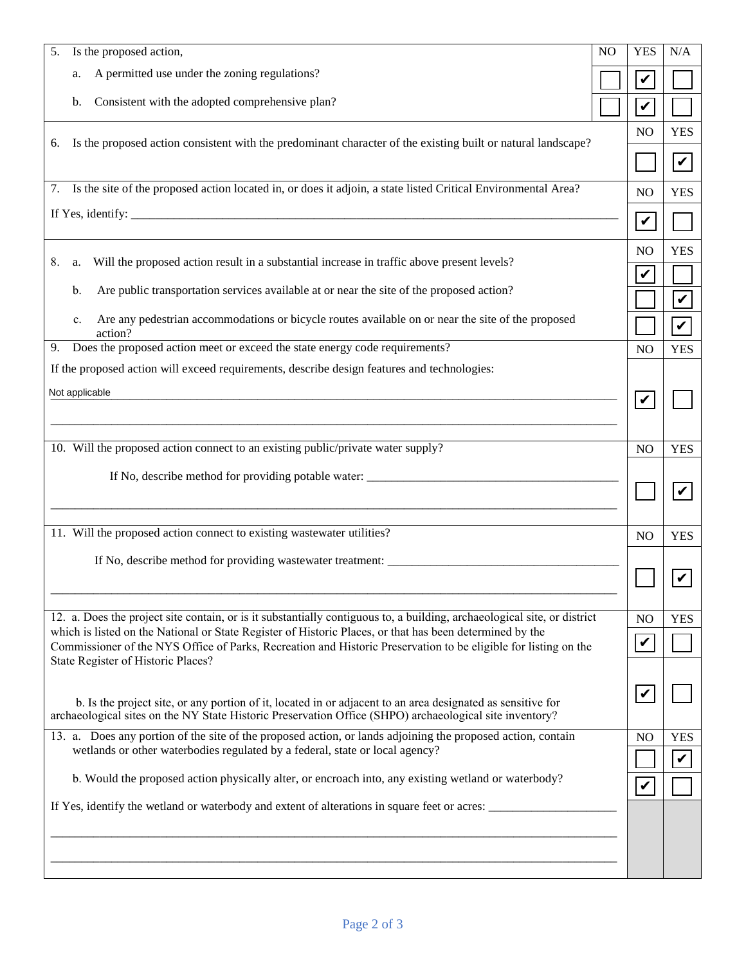| 5.                                                                                                                                                                                                                                                                | Is the proposed action,                                                                                                                                                                                                           | N <sub>O</sub>       | <b>YES</b>                 | N/A                        |
|-------------------------------------------------------------------------------------------------------------------------------------------------------------------------------------------------------------------------------------------------------------------|-----------------------------------------------------------------------------------------------------------------------------------------------------------------------------------------------------------------------------------|----------------------|----------------------------|----------------------------|
| a.                                                                                                                                                                                                                                                                | A permitted use under the zoning regulations?                                                                                                                                                                                     |                      | $\blacktriangledown$       |                            |
| b.                                                                                                                                                                                                                                                                | Consistent with the adopted comprehensive plan?                                                                                                                                                                                   |                      | $\mathbf v$                |                            |
|                                                                                                                                                                                                                                                                   |                                                                                                                                                                                                                                   |                      | N <sub>O</sub>             | <b>YES</b>                 |
| 6.                                                                                                                                                                                                                                                                | Is the proposed action consistent with the predominant character of the existing built or natural landscape?                                                                                                                      |                      |                            | $\boldsymbol{\mathcal{U}}$ |
| 7.                                                                                                                                                                                                                                                                | Is the site of the proposed action located in, or does it adjoin, a state listed Critical Environmental Area?                                                                                                                     |                      | NO                         | <b>YES</b>                 |
|                                                                                                                                                                                                                                                                   | If Yes, identify: $\frac{1}{2}$ is the set of the set of the set of the set of the set of the set of the set of the set of the set of the set of the set of the set of the set of the set of the set of the set of the set of the |                      | $\boldsymbol{\mathcal{U}}$ |                            |
|                                                                                                                                                                                                                                                                   |                                                                                                                                                                                                                                   |                      | NO                         | <b>YES</b>                 |
| 8.<br>a.                                                                                                                                                                                                                                                          | Will the proposed action result in a substantial increase in traffic above present levels?                                                                                                                                        |                      | $\checkmark$               |                            |
| b.                                                                                                                                                                                                                                                                | Are public transportation services available at or near the site of the proposed action?                                                                                                                                          |                      |                            | $\boldsymbol{\mathcal{U}}$ |
| $\mathbf{c}$ .<br>action?                                                                                                                                                                                                                                         | Are any pedestrian accommodations or bicycle routes available on or near the site of the proposed                                                                                                                                 |                      |                            | $\checkmark$               |
| 9.                                                                                                                                                                                                                                                                | Does the proposed action meet or exceed the state energy code requirements?                                                                                                                                                       |                      | NO                         | <b>YES</b>                 |
| Not applicable                                                                                                                                                                                                                                                    | If the proposed action will exceed requirements, describe design features and technologies:                                                                                                                                       |                      | $\checkmark$               |                            |
|                                                                                                                                                                                                                                                                   | 10. Will the proposed action connect to an existing public/private water supply?                                                                                                                                                  |                      | N <sub>O</sub>             | <b>YES</b>                 |
|                                                                                                                                                                                                                                                                   | If No, describe method for providing potable water: ____________________________                                                                                                                                                  |                      |                            |                            |
|                                                                                                                                                                                                                                                                   | 11. Will the proposed action connect to existing wastewater utilities?                                                                                                                                                            |                      | NO                         | <b>YES</b>                 |
|                                                                                                                                                                                                                                                                   | If No, describe method for providing wastewater treatment: _____________________                                                                                                                                                  |                      |                            |                            |
|                                                                                                                                                                                                                                                                   | 12. a. Does the project site contain, or is it substantially contiguous to, a building, archaeological site, or district                                                                                                          |                      | NO                         | <b>YES</b>                 |
| which is listed on the National or State Register of Historic Places, or that has been determined by the<br>Commissioner of the NYS Office of Parks, Recreation and Historic Preservation to be eligible for listing on the<br>State Register of Historic Places? |                                                                                                                                                                                                                                   |                      | $\mathbf v$                |                            |
|                                                                                                                                                                                                                                                                   | b. Is the project site, or any portion of it, located in or adjacent to an area designated as sensitive for<br>archaeological sites on the NY State Historic Preservation Office (SHPO) archaeological site inventory?            |                      | $\blacktriangledown$       |                            |
|                                                                                                                                                                                                                                                                   | 13. a. Does any portion of the site of the proposed action, or lands adjoining the proposed action, contain<br>wetlands or other waterbodies regulated by a federal, state or local agency?                                       |                      | NO                         | <b>YES</b><br>V            |
| b. Would the proposed action physically alter, or encroach into, any existing wetland or waterbody?                                                                                                                                                               |                                                                                                                                                                                                                                   | $\blacktriangledown$ |                            |                            |
| If Yes, identify the wetland or waterbody and extent of alterations in square feet or acres:                                                                                                                                                                      |                                                                                                                                                                                                                                   |                      |                            |                            |
|                                                                                                                                                                                                                                                                   |                                                                                                                                                                                                                                   |                      |                            |                            |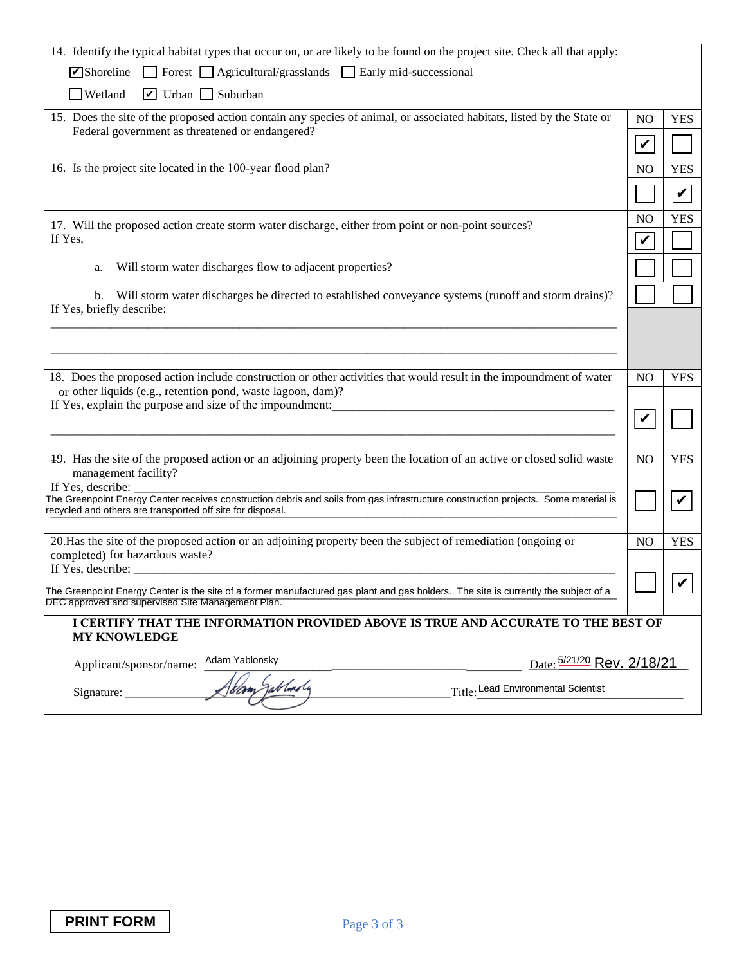| 14. Identify the typical habitat types that occur on, or are likely to be found on the project site. Check all that apply:                                                                        |                  |              |  |
|---------------------------------------------------------------------------------------------------------------------------------------------------------------------------------------------------|------------------|--------------|--|
| Forest <b>Agricultural/grasslands Early mid-successional</b><br>$\triangleright$ Shoreline                                                                                                        |                  |              |  |
| $\Box$ Wetland<br>$\triangleright$ Urban $\square$ Suburban                                                                                                                                       |                  |              |  |
| 15. Does the site of the proposed action contain any species of animal, or associated habitats, listed by the State or                                                                            |                  |              |  |
| Federal government as threatened or endangered?                                                                                                                                                   |                  |              |  |
| 16. Is the project site located in the 100-year flood plan?                                                                                                                                       | N <sub>O</sub>   | <b>YES</b>   |  |
|                                                                                                                                                                                                   |                  | $\checkmark$ |  |
| 17. Will the proposed action create storm water discharge, either from point or non-point sources?                                                                                                | N <sub>O</sub>   | <b>YES</b>   |  |
| If Yes,                                                                                                                                                                                           | V                |              |  |
| Will storm water discharges flow to adjacent properties?<br>a.                                                                                                                                    |                  |              |  |
| Will storm water discharges be directed to established conveyance systems (runoff and storm drains)?<br>b.<br>If Yes, briefly describe:                                                           |                  |              |  |
|                                                                                                                                                                                                   |                  |              |  |
| 18. Does the proposed action include construction or other activities that would result in the impoundment of water                                                                               | N <sub>O</sub>   | <b>YES</b>   |  |
| or other liquids (e.g., retention pond, waste lagoon, dam)?<br>If Yes, explain the purpose and size of the impoundment:                                                                           |                  |              |  |
|                                                                                                                                                                                                   | $\boldsymbol{v}$ |              |  |
|                                                                                                                                                                                                   |                  |              |  |
| 49. Has the site of the proposed action or an adjoining property been the location of an active or closed solid waste<br>management facility?<br>If Yes, describe:                                | NO               | <b>YES</b>   |  |
| The Greenpoint Energy Center receives construction debris and soils from gas infrastructure construction projects. Some material is<br>recycled and others are transported off site for disposal. |                  | V            |  |
|                                                                                                                                                                                                   |                  |              |  |
| 20. Has the site of the proposed action or an adjoining property been the subject of remediation (ongoing or<br>completed) for hazardous waste?                                                   | N <sub>O</sub>   | <b>YES</b>   |  |
| If Yes, describe: $\frac{1}{2}$ describe:                                                                                                                                                         |                  |              |  |
| The Greenpoint Energy Center is the site of a former manufactured gas plant and gas holders. The site is currently the subject of a<br>DEC approved and supervised Site Management Plan.          |                  |              |  |
| I CERTIFY THAT THE INFORMATION PROVIDED ABOVE IS TRUE AND ACCURATE TO THE BEST OF                                                                                                                 |                  |              |  |
| <b>MY KNOWLEDGE</b>                                                                                                                                                                               |                  |              |  |
| Adam Yablonsky<br>Date: 5/21/20 Rev. 2/18/21<br>Applicant/sponsor/name:                                                                                                                           |                  |              |  |
| Tablonsly<br>Title: Lead Environmental Scientist<br>Signature: __                                                                                                                                 |                  |              |  |
|                                                                                                                                                                                                   |                  |              |  |
|                                                                                                                                                                                                   |                  |              |  |
|                                                                                                                                                                                                   |                  |              |  |
|                                                                                                                                                                                                   |                  |              |  |
|                                                                                                                                                                                                   |                  |              |  |
|                                                                                                                                                                                                   |                  |              |  |
|                                                                                                                                                                                                   |                  |              |  |
|                                                                                                                                                                                                   |                  |              |  |
|                                                                                                                                                                                                   |                  |              |  |
| <b>PRINT FORM</b><br>Page 3 of 3                                                                                                                                                                  |                  |              |  |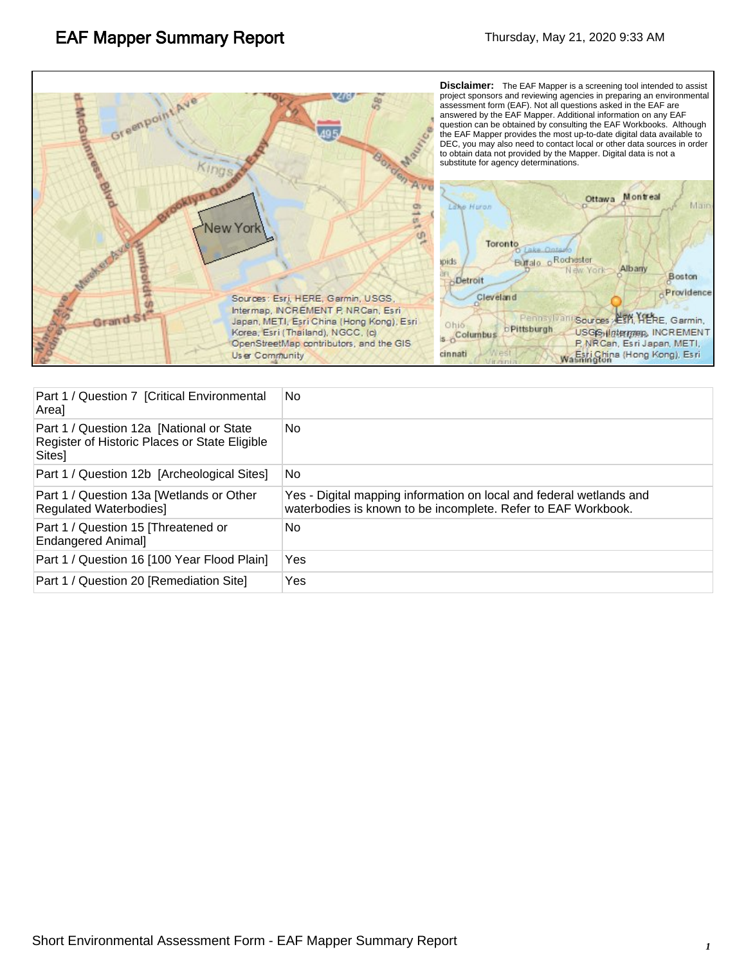

| Part 1 / Question 7 [Critical Environmental<br>Areal                                                 | No.                                                                                                                                  |
|------------------------------------------------------------------------------------------------------|--------------------------------------------------------------------------------------------------------------------------------------|
| Part 1 / Question 12a [National or State]<br>Register of Historic Places or State Eligible<br>Sites] | No                                                                                                                                   |
| Part 1 / Question 12b [Archeological Sites]                                                          | No                                                                                                                                   |
| Part 1 / Question 13a [Wetlands or Other<br><b>Regulated Waterbodies]</b>                            | Yes - Digital mapping information on local and federal wetlands and<br>waterbodies is known to be incomplete. Refer to EAF Workbook. |
| Part 1 / Question 15 [Threatened or<br><b>Endangered Animal]</b>                                     | No                                                                                                                                   |
| Part 1 / Question 16 [100 Year Flood Plain]                                                          | Yes                                                                                                                                  |
| Part 1 / Question 20 [Remediation Site]                                                              | Yes                                                                                                                                  |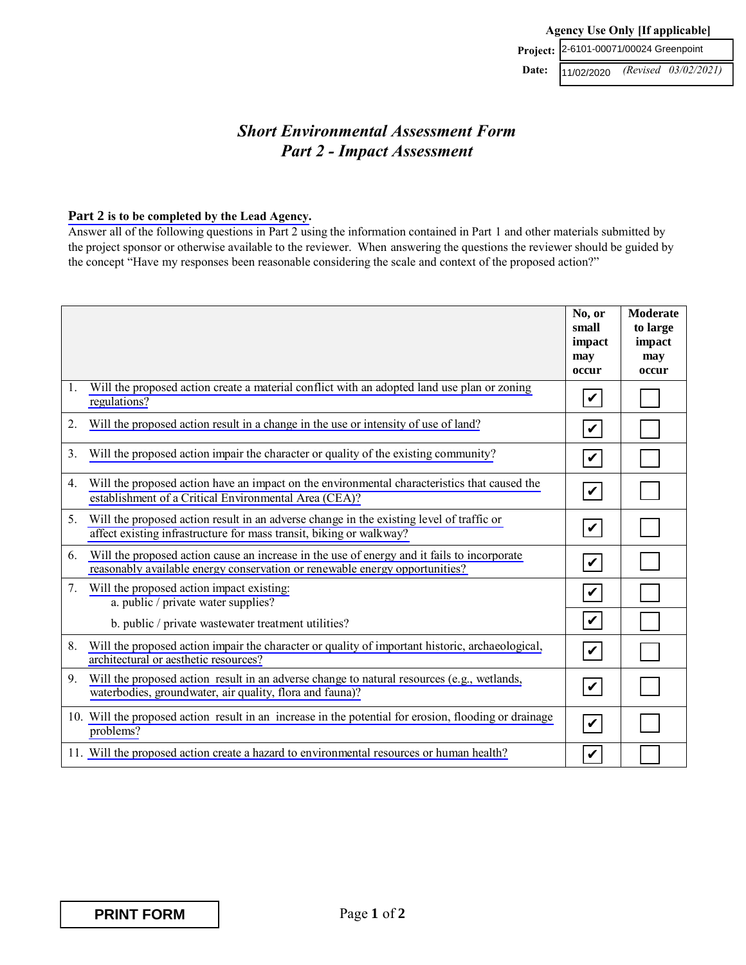## *Short Environmental Assessment Form Part 2 - Impact Assessment*

#### **Part 2 [is to be completed by the Lead Agency.](http://www.dec.ny.gov/permits/90161.html)**

Answer all of the following questions in Part 2 using the information contained in Part 1 and other materials submitted by the project sponsor or otherwise available to the reviewer. When answering the questions the reviewer should be guided by the concept "Have my responses been reasonable considering the scale and context of the proposed action?"

|                                |                                                                                                                                                                            | No, or<br>small<br>impact<br>may<br>occur | <b>Moderate</b><br>to large<br>impact<br>may<br>occur |
|--------------------------------|----------------------------------------------------------------------------------------------------------------------------------------------------------------------------|-------------------------------------------|-------------------------------------------------------|
| 1.                             | Will the proposed action create a material conflict with an adopted land use plan or zoning<br>regulations?                                                                | V                                         |                                                       |
| 2.                             | Will the proposed action result in a change in the use or intensity of use of land?                                                                                        | $\boldsymbol{v}$                          |                                                       |
| 3.                             | Will the proposed action impair the character or quality of the existing community?                                                                                        | $\mathbf v$                               |                                                       |
| 4.                             | Will the proposed action have an impact on the environmental characteristics that caused the<br>establishment of a Critical Environmental Area (CEA)?                      | $\boldsymbol{\mathcal{U}}$                |                                                       |
| 5.                             | Will the proposed action result in an adverse change in the existing level of traffic or<br>affect existing infrastructure for mass transit, biking or walkway?            | $\boldsymbol{\mathcal{U}}$                |                                                       |
| 6.                             | Will the proposed action cause an increase in the use of energy and it fails to incorporate<br>reasonably available energy conservation or renewable energy opportunities? | $\boldsymbol{\mathcal{U}}$                |                                                       |
| $7_{\scriptscriptstyle{\sim}}$ | Will the proposed action impact existing:<br>a. public / private water supplies?                                                                                           | $\boldsymbol{\mathcal{U}}$                |                                                       |
|                                | b. public / private wastewater treatment utilities?                                                                                                                        | $\boldsymbol{\mathcal{U}}$                |                                                       |
| 8.                             | Will the proposed action impair the character or quality of important historic, archaeological,<br>architectural or aesthetic resources?                                   | $\blacktriangledown$                      |                                                       |
| 9.                             | Will the proposed action result in an adverse change to natural resources (e.g., wetlands,<br>waterbodies, groundwater, air quality, flora and fauna)?                     | $\boldsymbol{\mathcal{U}}$                |                                                       |
|                                | 10. Will the proposed action result in an increase in the potential for erosion, flooding or drainage<br>problems?                                                         | $\boldsymbol{v}$                          |                                                       |
|                                | 11. Will the proposed action create a hazard to environmental resources or human health?                                                                                   | V                                         |                                                       |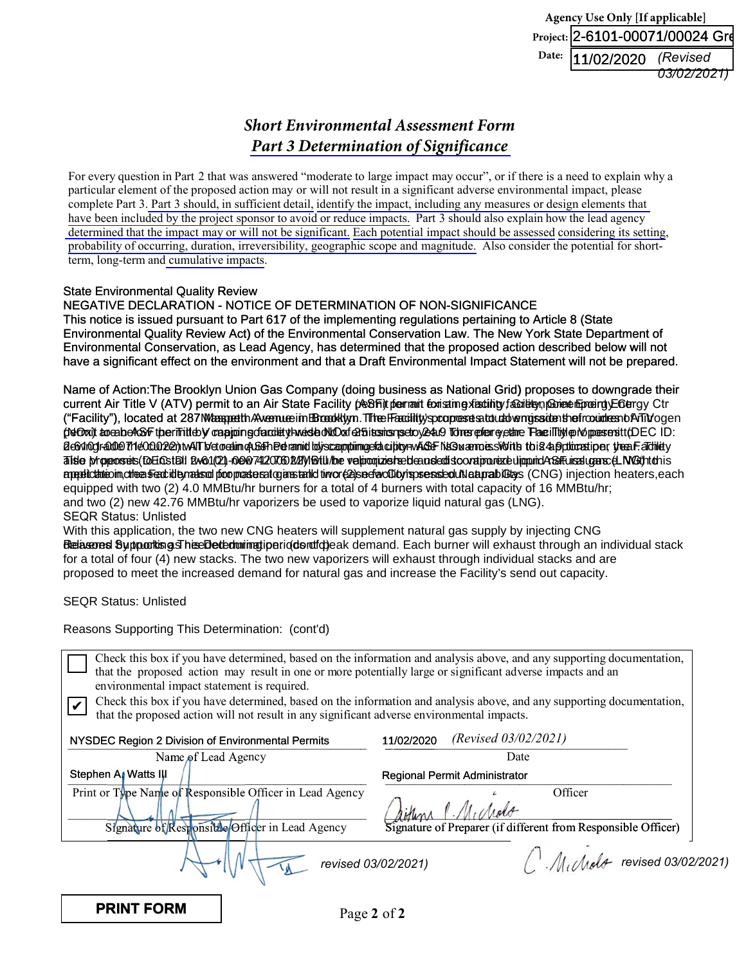**Agency Use Only [If applicable]** Project:|2-6101-00071/00024 Gr**e Date:** 11/02/2020 *(Revised 03/02/2021)*

# *Short Environmental Assessment Form [Part 3 Determination of Significance](http://www.dec.ny.gov/permits/90166.html)*

For every question in Part 2 that was answered "moderate to large impact may occur", or if there is a need to explain why a particular element of the proposed action may or will not result in a significant adverse environmental impact, please complete Part 3. [Part 3 should, in sufficient detail,](http://www.dec.ny.gov/permits/91455.html) identify the impact, including any measures [or design elements that](http://www.dec.ny.gov/permits/91455.html) have [been included by the](http://www.dec.ny.gov/permits/91460.html) project sponsor to avoid or reduce impacts. Part 3 should also explain how the lead agency [determined that the](http://www.dec.ny.gov/permits/91450.html) impact may or will not be significant. [Each potential impact](http://www.dec.ny.gov/permits/91450.html) should be assessed [considering its](http://www.dec.ny.gov/permits/91450.html) setting, probability of [occurring, duration, irreversibility, geographic scope](http://www.dec.ny.gov/permits/91450.html) and magnitude. Also consider the potential for shortterm, long-term an[d cumulative impacts](http://www.dec.ny.gov/permits/91460.html).

### State Environmental Quality Review State Environmental Quality Review

### NEGATIVE DECLARATION - NOTICE OF DETERMINATION OF NON-SIGNIFICANCE NEGATIVE DECLARATION - NOTICE OF DETERMINATION OF NON-SIGNIFICANCE

This notice is issued pursuant to Part 617 of the implementing regulations pertaining to Article 8 (State This notice is issued pursuant to Part 617 of the implementing regulations pertaining to Article 8 (State Environmental Quality Review Act) of the Environmental Conservation Law. The New York State Department of Environmental Quality Review Act) of the Environmental Conservation Law. The New York State Department of Environmental Conservation, as Lead Agency, has determined that the proposed action described below will not Environmental Conservation, as Lead Agency, has determined that the proposed action described below will not have a significant effect on the environment and that a Draft Environmental Impact Statement will not be prepared.

Name of Action:The Brooklyn Union Gas Company (doing business as National Grid) proposes to downgrade their Name of Action:The Brooklyn Union Gas Company (doing business as National Grid) proposes to downgrade their current Air Title V (ATV) permit to an Air State Facility (AsBFi)t pernant foxisting yiaxitity fa&ritityn,p&niexemEproeing)E6tergy Ctr ("Facility"), located at 287M/bespetth/AvenueeimBBroodklym.ThhefFacility/spcopresetsubudoverngssidenthefroxindresnbArTit/ogen (NGOxi) areabeASF the rifitteby capping dacitaty huesta oNLOxí a5 its misn peroxy ea Tones priency et are The illiyle Mopes ensit (DEC ID: 2 c6 vln0gradde 711 e0 c00 2 22 n WAT b/etorealim qA G&T heterminus discomplimiges activity-wide From ASP and M āliste þripposreis (DE OSt 1911) 2000/742. ho 2007 742. O KDMA varð var þrið stætt handska hand var handland m appelichtrioim, othe as Ferdidity madsod proposate real gans tank timo (22) se d'avolio the pressed un laban abbeys (CNG) injection heaters, each SEQR Status: Unlisted equipped with two (2) 4.0 MMBtu/hr burners for a total of 4 burners with total capacity of 16 MMBtu/hr; and two (2) new 42.76 MMBtu/hr vaporizers be used to vaporize liquid natural gas (LNG). From the stephen A. Watter of the stephen A. Watter is a stephen and the stephen A. Watter is a stephen A. Watter of the stephen A. Watter is a stephen A. Watter of the stephen A. Watter is a stephen A. Watter is a stephe

**Belasons SypportisgsTheeDetedminatiperiodsrutch**eak demand. Each burner will exhaust through an individual stack With this application, the two new CNG heaters will supplement natural gas supply by injecting CNG for a total of four (4) new stacks. The two new vaporizers will exhaust through individual stacks and are proposed to meet the increased demand for natural gas and increase the Facility's send out capacity.

SEQR Status: Unlisted

Reasons Supporting This Determination: (cont'd)

| environmental impact statement is required.              | Check this box if you have determined, based on the information and analysis above, and any supporting documentation,<br>that the proposed action may result in one or more potentially large or significant adverse impacts and an |            |                                      |                                                                          |                                         |
|----------------------------------------------------------|-------------------------------------------------------------------------------------------------------------------------------------------------------------------------------------------------------------------------------------|------------|--------------------------------------|--------------------------------------------------------------------------|-----------------------------------------|
|                                                          | Check this box if you have determined, based on the information and analysis above, and any supporting documentation,<br>that the proposed action will not result in any significant adverse environmental impacts.                 |            |                                      |                                                                          |                                         |
| NYSDEC Region 2 Division of Environmental Permits        |                                                                                                                                                                                                                                     | 11/02/2020 | (Revised $03/02/2021$ )              |                                                                          |                                         |
| Name of Lead Agency                                      |                                                                                                                                                                                                                                     |            | Date                                 |                                                                          |                                         |
| Stephen Al Watts III                                     |                                                                                                                                                                                                                                     |            | <b>Regional Permit Administrator</b> |                                                                          |                                         |
| Print or Type Name of Responsible Officer in Lead Agency | Signature of Responsible Officer in Lead Agency                                                                                                                                                                                     |            |                                      | Officer<br>Signature of Preparer (if different from Responsible Officer) |                                         |
|                                                          | revised 03/02/2021)                                                                                                                                                                                                                 |            |                                      |                                                                          | $\bigcup$ . Mulholt revised 03/02/2021) |
| <b>PRINT FORM</b>                                        | Page 2 of 2                                                                                                                                                                                                                         |            |                                      |                                                                          |                                         |